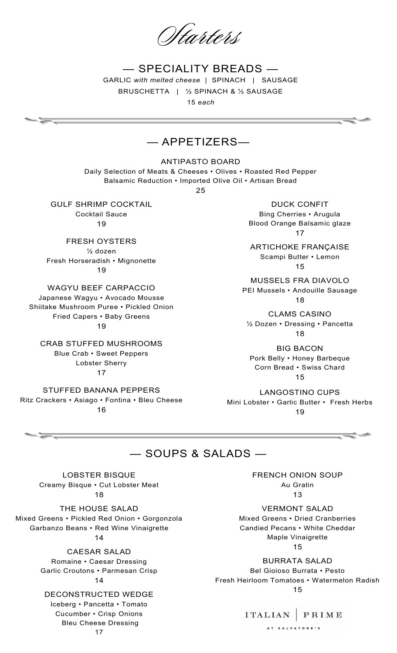tarters

— SPECIALITY BREADS — GARLIC *with melted cheese* | SPINACH | SAUSAGE BRUSCHETTA | ½ SPINACH & ½ SAUSAGE

15 *each*

# — APPETIZERS—

ANTIPASTO BOARD

Daily Selection of Meats & Cheeses • Olives • Roasted Red Pepper Balsamic Reduction • Imported Olive Oil • Artisan Bread

25

GULF SHRIMP COCKTAIL Cocktail Sauce 19

FRESH OYSTERS ½ dozen Fresh Horseradish • Mignonette 19

WAGYU BEEF CARPACCIO Japanese Wagyu • Avocado Mousse Shiitake Mushroom Puree • Pickled Onion Fried Capers • Baby Greens 19

CRAB STUFFED MUSHROOMS Blue Crab • Sweet Peppers Lobster Sherry 17

STUFFED BANANA PEPPERS Ritz Crackers • Asiago • Fontina • Bleu Cheese 16

DUCK CONFIT Bing Cherries • Arugula Blood Orange Balsamic glaze 17

ARTICHOKE FRANÇAISE Scampi Butter • Lemon 15

MUSSELS FRA DIAVOLO PEI Mussels • Andouille Sausage 18

CLAMS CASINO ½ Dozen • Dressing • Pancetta 18

BIG BACON Pork Belly • Honey Barbeque Corn Bread • Swiss Chard 15

LANGOSTINO CUPS Mini Lobster • Garlic Butter • Fresh Herbs 19

— SOUPS & SALADS —

LOBSTER BISQUE Creamy Bisque • Cut Lobster Meat 18

THE HOUSE SALAD Mixed Greens • Pickled Red Onion • Gorgonzola Garbanzo Beans • Red Wine Vinaigrette 14

> CAESAR SALAD Romaine • Caesar Dressing Garlic Croutons • Parmesan Crisp

## 14

DECONSTRUCTED WEDGE Iceberg • Pancetta • Tomato Cucumber • Crisp Onions Bleu Cheese Dressing

FRENCH ONION SOUP Au Gratin 13

VERMONT SALAD Mixed Greens • Dried Cranberries Candied Pecans • White Cheddar Maple Vinaigrette 15

BURRATA SALAD Bel Gioioso Burrata • Pesto Fresh Heirloom Tomatoes • Watermelon Radish 15

#### ITALIAN PRIME

AT SALVATORE'S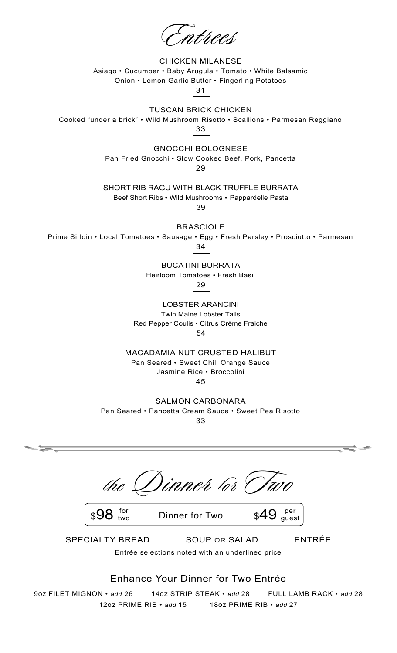CHICKEN MILANESE Asiago • Cucumber • Baby Arugula • Tomato • White Balsamic Onion • Lemon Garlic Butter • Fingerling Potatoes

31

### TUSCAN BRICK CHICKEN

Cooked "under a brick" • Wild Mushroom Risotto • Scallions • Parmesan Reggiano 33

> GNOCCHI BOLOGNESE Pan Fried Gnocchi • Slow Cooked Beef, Pork, Pancetta

29

SHORT RIB RAGU WITH BLACK TRUFFLE BURRATA

Beef Short Ribs • Wild Mushrooms • Pappardelle Pasta

39

BRASCIOLE

Prime Sirloin • Local Tomatoes • Sausage • Egg • Fresh Parsley • Prosciutto • Parmesan

34

BUCATINI BURRATA

Heirloom Tomatoes • Fresh Basil

29

LOBSTER ARANCINI Twin Maine Lobster Tails Red Pepper Coulis • Citrus Crème Fraiche 54

MACADAMIA NUT CRUSTED HALIBUT Pan Seared • Sweet Chili Orange Sauce Jasmine Rice • Broccolini 45

SALMON CARBONARA Pan Seared • Pancetta Cream Sauce • Sweet Pea Risotto 33

Tinner tor (

two

 $\frac{1}{2}$ <sup>for</sup> Dinner for Two \$49



SPECIALTY BREAD SOUP OR SALAD ENTRÉE

Entrée selections noted with an underlined price

## Enhance Your Dinner for Two Entrée

9oz FILET MIGNON • *add* 26 14oz STRIP STEAK • *add* 28 FULL LAMB RACK • *add* 28 12oz PRIME RIB • *add* 15 18oz PRIME RIB • *add* 27